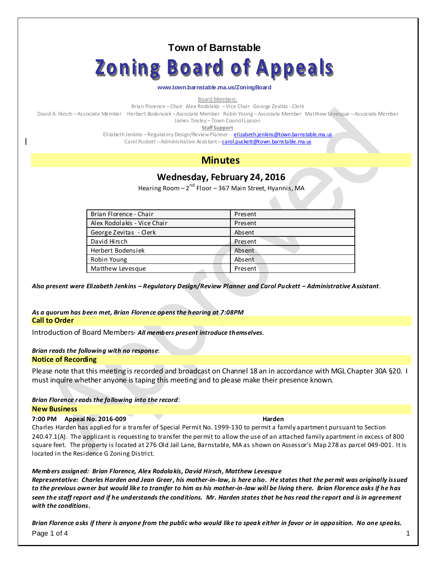## **Town of Barnstable**

# **Zoning Board of Appeals**

#### **www.town.barnstable.ma.us/ZoningBoard**

Board Members:

Brian Florence – Chair Alex Rodolakis –Vice Chair George Zevitas - Clerk

David A. Hirsch –Associate Member Herbert Bodensiek –Associate Member Robin Young –Associate Member Matthew Levesque –Associate Member James Tinsley – Town Council Liaison

**Staff Support**

Elizabeth Jenkins - Regulatory Design/Review Planner - [elizabeth.jenkins@town.barnstable.ma.us](mailto:Elizabeth.jenkins@town.barnstable.ma.us)

Carol Puckett - Administrative Assistant - [carol.puckett@town.barnstable.ma.us](mailto:carol.puckett@town.barnstable.ma.us)

## **Minutes**

## **Wednesday, February 24, 2016**

Hearing Room – 2<sup>nd</sup> Floor – 367 Main Street, Hyannis, MA

| Brian Florence - Chair      | Present |
|-----------------------------|---------|
| Alex Rodolakis - Vice Chair | Present |
| George Zevitas - Clerk      | Absent  |
| David Hirsch                | Present |
| Herbert Bodensiek           | Absent  |
| Robin Young                 | Absent  |
| Matthew Levesque            | Present |

*Also present were Elizabeth Jenkins – Regulatory Design/Review Planner and Carol Puckett – Administrative Assistant*.

#### *As a quorum has been met, Brian Florence opens the hearing at 7:08PM* **Call to Order**

Introduction of Board Members- *All members present introduce themselves*.

#### *Brian reads the following with no response*: **Notice of Recording**

Please note that this meeting is recorded and broadcast on Channel 18 an in accordance with MGL Chapter 30A §20. I must inquire whether anyone is taping this meeting and to please make their presence known.

## *Brian Florence reads the following into the record*:

#### **New Business**

#### **7:00 PM Appeal No. 2016-009 Harden**

Charles Harden has applied for a transfer of Special Permit No. 1999-130 to permit a family apartment pursuant to Section 240.47.1(A). The applicant is requesting to transfer the permit to allow the use of an attached family apartment in excess of 800 square feet. The property is located at 276 Old Jail Lane, Barnstable, MA as shown on Assessor's Map 278 as parcel 049-001. It is located in the Residence G Zoning District.

#### *Members assigned: Brian Florence, Alex Rodolakis, David Hirsch, Matthew Levesque*

*Representative: Charles Harden and Jean Greer, his mother-in-law, is here also. He states that the permit was originally issued to the previous owner but would like to transfer to him as his mother-in-law will be living there. Brian Florence asks if he has seen the staff report and if he understands the conditions. Mr. Harden states that he has read the report and is in agreement with the conditions.* 

Page 1 of 4 the set of the set of the set of the set of the set of the set of the set of the set of the set of the set of the set of the set of the set of the set of the set of the set of the set of the set of the set of t *Brian Florence asks if there is anyone from the public who would like to speak either in favor or in opposition. No one speaks.*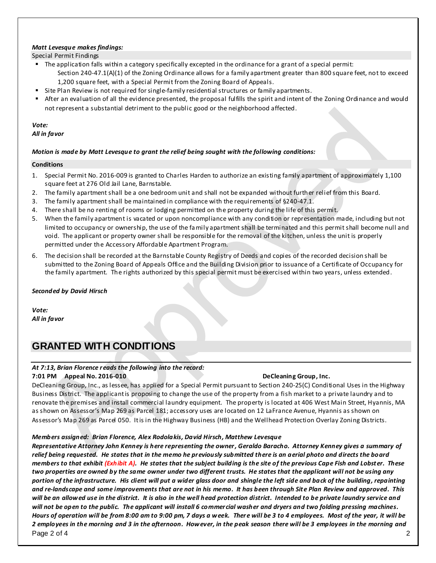#### *Matt Levesque makes findings:*

Special Permit Findings

- The application falls within a category specifically excepted in the ordinance for a grant of a special permit: Section 240-47.1(A)(1) of the Zoning Ordinance allows for a family apartment greater than 800 square feet, not to exceed 1,200 square feet, with a Special Permit from the Zoning Board of Appeals.
- **Site Plan Review is not required for single-family residential structures or family apartments.**
- After an evaluation of all the evidence presented, the proposal fulfills the spirit and intent of the Zoning Ordinance and would not represent a substantial detriment to the public good or the neighborhood affected.

# *Vote:*

#### *All in favor*

#### *Motion is made by Matt Levesque to grant the relief being sought with the following conditions:*

#### **Conditions**

- 1. Special Permit No. 2016-009 is granted to Charles Harden to authorize an existing family apartment of approximately 1,100 square feet at 276 Old Jail Lane, Barnstable.
- 2. The family apartment shall be a one bedroom unit and shall not be expanded without further relief from this Board.
- 3. The family apartment shall be maintained in compliance with the requirements of §240-47.1.
- 4. There shall be no renting of rooms or lodging permitted on the property during the life of this permit.
- 5. When the family apartment is vacated or upon noncompliance with any condition or representation made, including but not limited to occupancy or ownership, the use of the fa mily apartment shall be terminated and this permit shall become null and void. The applicant or property owner shall be responsible for the removal of the kitchen, unless the unit is properly permitted under the Accessory Affordable Apartment Program.
- 6. The decision shall be recorded at the Barnstable County Registry of Deeds and copies of the recorded decision shall be submitted to the Zoning Board of Appeals Office and the Building Division prior to issuance of a Certificate of Occupancy for the family apartment. The rights authorized by this special permit must be exercised within two years, unless extended.

#### *Seconded by David Hirsch*

*Vote: All in favor*

## **GRANTED WITH CONDITIONS**

## *At 7:13, Brian Florence reads the following into the record:*

#### **7:01 PM Appeal No. 2016-010 DeCleaning Group, Inc.**

DeCleaning Group, Inc., as lessee, has applied for a Special Permit pursuant to Section 240-25(C) Conditional Uses in the Highway Business District. The applicant is proposing to change the use of the property from a fish market to a private laundry and to renovate the premises and install commercial laundry equipment. The property is located at 406 West Main Street, Hyannis, MA as shown on Assessor's Map 269 as Parcel 181; accessory uses are located on 12 LaFrance Avenue, Hyannis as shown on Assessor's Map 269 as Parcel 050. It is in the Highway Business (HB) and the Wellhead Protection Overlay Zoning Districts.

#### *Members assigned: Brian Florence, Alex Rodolakis, David Hirsch, Matthew Levesque*

Page 2 of 4 2 *Representative Attorney John Kenney is here representing the owner, Geraldo Baracho. Attorney Kenney gives a summary of relief being requested. He states that in the memo he previously submitted there is an aerial photo and directs the board members to that exhibit (Exhibit A). He states that the subject building is the site of the previous Cape Fish and Lobst er. These two properties are owned by the same owner under two different trusts. He states that the applicant will not be using any portion of the infrastructure. His client will put a wider glass door and shingle the left side and back of the building, repainting and re-landscape and some improvements that are not in his memo. It has been through Sit e Plan Review and approved. This will be an allowed use in the district. It is also in the well head protection district. Intended to be private laundry service and will not be open to the public. The applicant will install 6 commercial washer and dryers and two folding pressing machines. Hours of operation will be from 8:00 am to 9:00 pm, 7 days a week. There will be 3 to 4 employees. Most of the year, it will be 2 employees in the morning and 3 in the afternoon. However, in the peak season there will be 3 employees in the morning and*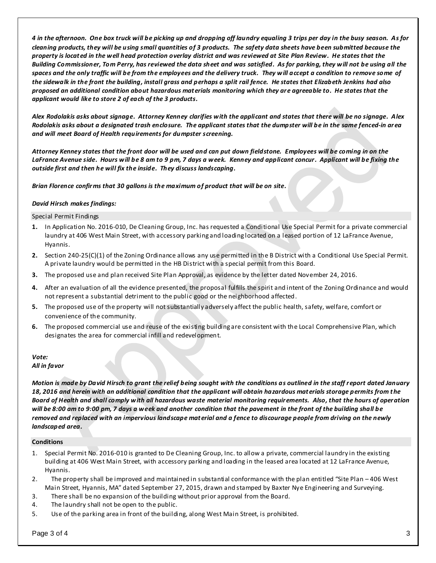*4 in the afternoon. One box truck will be picking up and dropping off laundry equaling 3 trips per day in the busy season. As for cleaning products, they will be using small quantities of 3 products. The safety data sheets have been submitted because the property is locat ed in the well head protection overlay district and was reviewed at Site Plan Review. He states that the Building Commissioner, Tom Perry, has reviewed the data sheet and was satisfied. As for parking, they will not be using all the spaces and the only traffic will be from the employees and the delivery truck. They will accept a condition to remove some of the sidewalk in the front the building, install grass and perhaps a split rail fence. He states that Elizabeth Jenkins had also proposed an additional condition about hazardous mat erials monitoring which they are agreeable to. He states that the applicant would like to store 2 of each of the 3 products.* 

*Alex Rodolakis asks about signage. Attorney Kenney clarifies with the applicant and states that there will be no signage. Alex Rodolakis asks about a designated trash enclosure. The applicant states that the dumpster will be in the same fenced-in area and will meet Board of Health requirements for dumpster screening.* 

*Attorney Kenney states that the front door will be used and can put down fieldstone. Employees will be coming in on the LaFrance Avenue side. Hours will be 8 am to 9 pm, 7 days a week. Kenney and applicant concur. Applicant will be fixing the outside first and then he will fix the inside. They discuss landscaping.* 

*Brian Florence confirms that 30 gallons is the maximum of product that will be on site.* 

#### *David Hirsch makes findings:*

Special Permit Findings

- **1.** In Application No. 2016-010, De Cleaning Group, Inc. has requested a Conditional Use Special Permit for a private commercial laundry at 406 West Main Street, with accessory parking and loading located on a leased portion of 12 LaFrance Avenue, Hyannis.
- **2.** Section 240-25(C)(1) of the Zoning Ordinance allows any use permitted in the B District with a Conditional Use Special Permit. A private laundry would be permitted in the HB District with a special permit from this Board.
- **3.** The proposed use and plan received Site Plan Approval, as evidence by the letter dated November 24, 2016.
- **4.** After an evaluation of all the evidence presented, the proposal fulfills the spirit and intent of the Zoning Ordinance and would not represent a substantial detriment to the public good or the neighborhood affected.
- **5.** The proposed use of the property will not substantially adversely affect the public health, safety, welfare, comfort or convenience of the community.
- **6.** The proposed commercial use and reuse of the existing building are consistent with the Local Comprehensive Plan, which designates the area for commercial infill and redevelopment.

#### *Vote: All in favor*

*Motion is made by David Hirsch to grant the relief being sought with the conditions as outlined in the staff report dated January 18, 2016 and herein with an additional condition that the applicant will obtain hazardous mat erials storage permits from t he Board of Health and shall comply with all hazardous waste material monitoring requirements. Also, that the hours of operation will be 8:00 am to 9:00 pm, 7 days a week and another condition that the pavement in the front of the building shall be removed and replaced with an impervious landscape mat erial and a fence to discourage people from driving on the newly landscaped area.* 

#### **Conditions**

- 1. Special Permit No. 2016-010 is granted to De Cleaning Group, Inc. to allow a private, commercial laundry in the existing building at 406 West Main Street, with accessory parking and loading in the leased area located at 12 LaFrance Avenue, Hyannis.
- 2. The property shall be improved and maintained in substantial conformance with the plan entitled "Site Plan 406 West Main Street, Hyannis, MA" dated September 27, 2015, drawn and stamped by Baxter Nye Engineering and Surveying.
- 3. There shall be no expansion of the building without prior approval from the Board.
- 4. The laundry shall not be open to the public.
- 5. Use of the parking area in front of the building, along West Main Street, is prohibited.